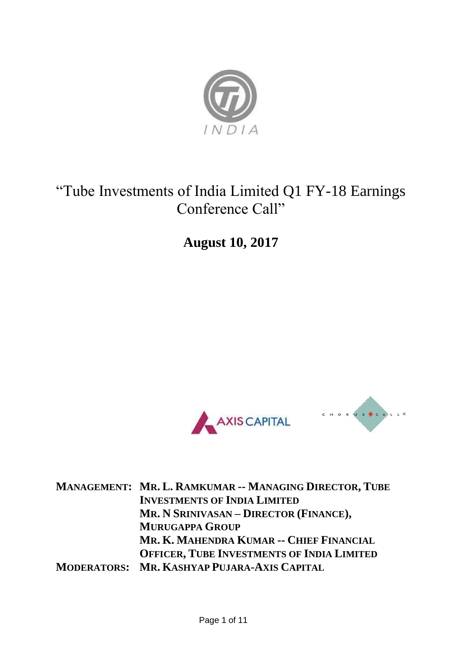

## "Tube Investments of India Limited Q1 FY-18 Earnings Conference Call"

**August 10, 2017**





**MANAGEMENT: MR. L. RAMKUMAR -- MANAGING DIRECTOR, TUBE INVESTMENTS OF INDIA LIMITED MR. N SRINIVASAN – DIRECTOR (FINANCE), MURUGAPPA GROUP MR. K. MAHENDRA KUMAR -- CHIEF FINANCIAL OFFICER, TUBE INVESTMENTS OF INDIA LIMITED MODERATORS: MR. KASHYAP PUJARA-AXIS CAPITAL**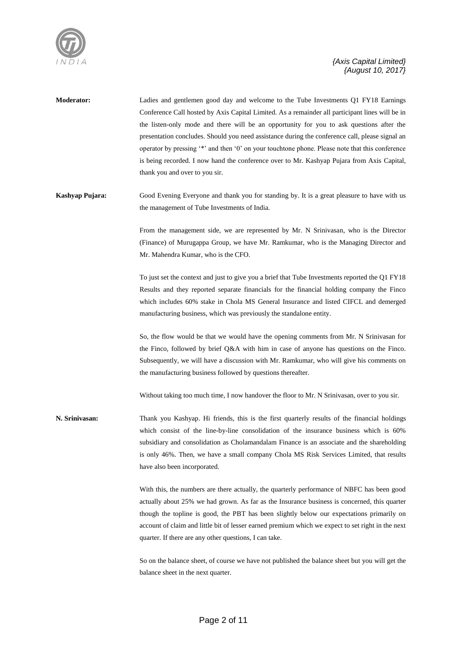

**Moderator:** Ladies and gentlemen good day and welcome to the Tube Investments Q1 FY18 Earnings Conference Call hosted by Axis Capital Limited. As a remainder all participant lines will be in the listen-only mode and there will be an opportunity for you to ask questions after the presentation concludes. Should you need assistance during the conference call, please signal an operator by pressing '\*' and then '0' on your touchtone phone. Please note that this conference is being recorded. I now hand the conference over to Mr. Kashyap Pujara from Axis Capital, thank you and over to you sir.

**Kashyap Pujara:** Good Evening Everyone and thank you for standing by. It is a great pleasure to have with us the management of Tube Investments of India.

> From the management side, we are represented by Mr. N Srinivasan, who is the Director (Finance) of Murugappa Group, we have Mr. Ramkumar, who is the Managing Director and Mr. Mahendra Kumar, who is the CFO.

> To just set the context and just to give you a brief that Tube Investments reported the Q1 FY18 Results and they reported separate financials for the financial holding company the Finco which includes 60% stake in Chola MS General Insurance and listed CIFCL and demerged manufacturing business, which was previously the standalone entity.

> So, the flow would be that we would have the opening comments from Mr. N Srinivasan for the Finco, followed by brief Q&A with him in case of anyone has questions on the Finco. Subsequently, we will have a discussion with Mr. Ramkumar, who will give his comments on the manufacturing business followed by questions thereafter.

Without taking too much time, I now handover the floor to Mr. N Srinivasan, over to you sir.

**N. Srinivasan:** Thank you Kashyap. Hi friends, this is the first quarterly results of the financial holdings which consist of the line-by-line consolidation of the insurance business which is 60% subsidiary and consolidation as Cholamandalam Finance is an associate and the shareholding is only 46%. Then, we have a small company Chola MS Risk Services Limited, that results have also been incorporated.

> With this, the numbers are there actually, the quarterly performance of NBFC has been good actually about 25% we had grown. As far as the Insurance business is concerned, this quarter though the topline is good, the PBT has been slightly below our expectations primarily on account of claim and little bit of lesser earned premium which we expect to set right in the next quarter. If there are any other questions, I can take.

> So on the balance sheet, of course we have not published the balance sheet but you will get the balance sheet in the next quarter.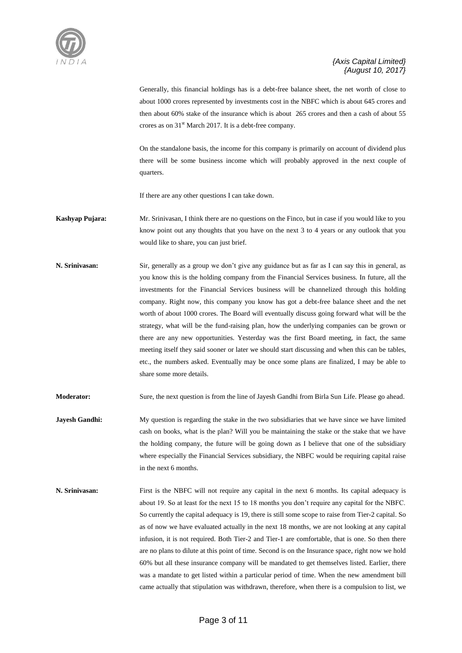

Generally, this financial holdings has is a debt-free balance sheet, the net worth of close to about 1000 crores represented by investments cost in the NBFC which is about 645 crores and then about 60% stake of the insurance which is about 265 crores and then a cash of about 55 crores as on 31<sup>st</sup> March 2017. It is a debt-free company.

On the standalone basis, the income for this company is primarily on account of dividend plus there will be some business income which will probably approved in the next couple of quarters.

If there are any other questions I can take down.

- **Kashyap Pujara:** Mr. Srinivasan, I think there are no questions on the Finco, but in case if you would like to you know point out any thoughts that you have on the next 3 to 4 years or any outlook that you would like to share, you can just brief.
- **N. Srinivasan:** Sir, generally as a group we don't give any guidance but as far as I can say this in general, as you know this is the holding company from the Financial Services business. In future, all the investments for the Financial Services business will be channelized through this holding company. Right now, this company you know has got a debt-free balance sheet and the net worth of about 1000 crores. The Board will eventually discuss going forward what will be the strategy, what will be the fund-raising plan, how the underlying companies can be grown or there are any new opportunities. Yesterday was the first Board meeting, in fact, the same meeting itself they said sooner or later we should start discussing and when this can be tables, etc., the numbers asked. Eventually may be once some plans are finalized, I may be able to share some more details.

**Moderator:** Sure, the next question is from the line of Jayesh Gandhi from Birla Sun Life. Please go ahead.

- **Jayesh Gandhi:** My question is regarding the stake in the two subsidiaries that we have since we have limited cash on books, what is the plan? Will you be maintaining the stake or the stake that we have the holding company, the future will be going down as I believe that one of the subsidiary where especially the Financial Services subsidiary, the NBFC would be requiring capital raise in the next 6 months.
- **N. Srinivasan:** First is the NBFC will not require any capital in the next 6 months. Its capital adequacy is about 19. So at least for the next 15 to 18 months you don't require any capital for the NBFC. So currently the capital adequacy is 19, there is still some scope to raise from Tier-2 capital. So as of now we have evaluated actually in the next 18 months, we are not looking at any capital infusion, it is not required. Both Tier-2 and Tier-1 are comfortable, that is one. So then there are no plans to dilute at this point of time. Second is on the Insurance space, right now we hold 60% but all these insurance company will be mandated to get themselves listed. Earlier, there was a mandate to get listed within a particular period of time. When the new amendment bill came actually that stipulation was withdrawn, therefore, when there is a compulsion to list, we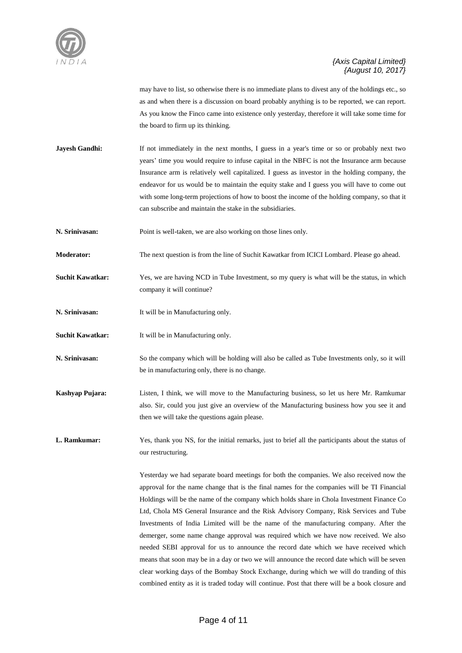

may have to list, so otherwise there is no immediate plans to divest any of the holdings etc., so as and when there is a discussion on board probably anything is to be reported, we can report. As you know the Finco came into existence only yesterday, therefore it will take some time for the board to firm up its thinking.

**Jayesh Gandhi:** If not immediately in the next months, I guess in a year's time or so or probably next two years' time you would require to infuse capital in the NBFC is not the Insurance arm because Insurance arm is relatively well capitalized. I guess as investor in the holding company, the endeavor for us would be to maintain the equity stake and I guess you will have to come out with some long-term projections of how to boost the income of the holding company, so that it can subscribe and maintain the stake in the subsidiaries.

**N. Srinivasan:** Point is well-taken, we are also working on those lines only.

**Moderator:** The next question is from the line of Suchit Kawatkar from ICICI Lombard. Please go ahead.

**Suchit Kawatkar:** Yes, we are having NCD in Tube Investment, so my query is what will be the status, in which company it will continue?

**N. Srinivasan:** It will be in Manufacturing only.

**Suchit Kawatkar:** It will be in Manufacturing only.

**N. Srinivasan:** So the company which will be holding will also be called as Tube Investments only, so it will be in manufacturing only, there is no change.

**Kashyap Pujara:** Listen, I think, we will move to the Manufacturing business, so let us here Mr. Ramkumar also. Sir, could you just give an overview of the Manufacturing business how you see it and then we will take the questions again please.

L. Ramkumar: Yes, thank you NS, for the initial remarks, just to brief all the participants about the status of our restructuring.

> Yesterday we had separate board meetings for both the companies. We also received now the approval for the name change that is the final names for the companies will be TI Financial Holdings will be the name of the company which holds share in Chola Investment Finance Co Ltd, Chola MS General Insurance and the Risk Advisory Company, Risk Services and Tube Investments of India Limited will be the name of the manufacturing company. After the demerger, some name change approval was required which we have now received. We also needed SEBI approval for us to announce the record date which we have received which means that soon may be in a day or two we will announce the record date which will be seven clear working days of the Bombay Stock Exchange, during which we will do tranding of this combined entity as it is traded today will continue. Post that there will be a book closure and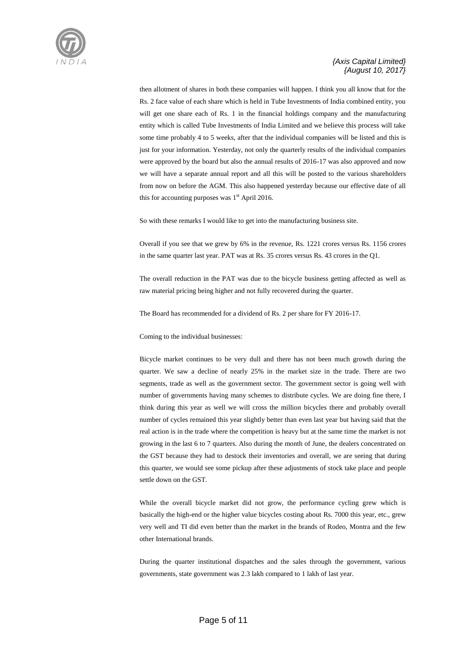

then allotment of shares in both these companies will happen. I think you all know that for the Rs. 2 face value of each share which is held in Tube Investments of India combined entity, you will get one share each of Rs. 1 in the financial holdings company and the manufacturing entity which is called Tube Investments of India Limited and we believe this process will take some time probably 4 to 5 weeks, after that the individual companies will be listed and this is just for your information. Yesterday, not only the quarterly results of the individual companies were approved by the board but also the annual results of 2016-17 was also approved and now we will have a separate annual report and all this will be posted to the various shareholders from now on before the AGM. This also happened yesterday because our effective date of all this for accounting purposes was  $1<sup>st</sup>$  April 2016.

So with these remarks I would like to get into the manufacturing business site.

Overall if you see that we grew by 6% in the revenue, Rs. 1221 crores versus Rs. 1156 crores in the same quarter last year. PAT was at Rs. 35 crores versus Rs. 43 crores in the Q1.

The overall reduction in the PAT was due to the bicycle business getting affected as well as raw material pricing being higher and not fully recovered during the quarter.

The Board has recommended for a dividend of Rs. 2 per share for FY 2016-17.

Coming to the individual businesses:

Bicycle market continues to be very dull and there has not been much growth during the quarter. We saw a decline of nearly 25% in the market size in the trade. There are two segments, trade as well as the government sector. The government sector is going well with number of governments having many schemes to distribute cycles. We are doing fine there, I think during this year as well we will cross the million bicycles there and probably overall number of cycles remained this year slightly better than even last year but having said that the real action is in the trade where the competition is heavy but at the same time the market is not growing in the last 6 to 7 quarters. Also during the month of June, the dealers concentrated on the GST because they had to destock their inventories and overall, we are seeing that during this quarter, we would see some pickup after these adjustments of stock take place and people settle down on the GST.

While the overall bicycle market did not grow, the performance cycling grew which is basically the high-end or the higher value bicycles costing about Rs. 7000 this year, etc., grew very well and TI did even better than the market in the brands of Rodeo, Montra and the few other International brands.

During the quarter institutional dispatches and the sales through the government, various governments, state government was 2.3 lakh compared to 1 lakh of last year.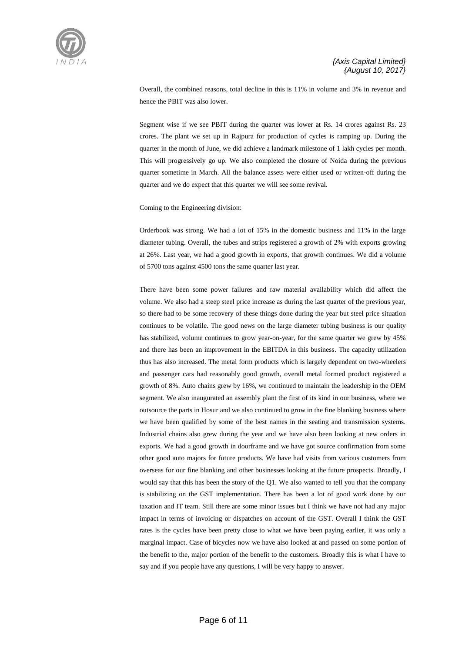

Overall, the combined reasons, total decline in this is 11% in volume and 3% in revenue and hence the PBIT was also lower.

Segment wise if we see PBIT during the quarter was lower at Rs. 14 crores against Rs. 23 crores. The plant we set up in Rajpura for production of cycles is ramping up. During the quarter in the month of June, we did achieve a landmark milestone of 1 lakh cycles per month. This will progressively go up. We also completed the closure of Noida during the previous quarter sometime in March. All the balance assets were either used or written-off during the quarter and we do expect that this quarter we will see some revival.

Coming to the Engineering division:

Orderbook was strong. We had a lot of 15% in the domestic business and 11% in the large diameter tubing. Overall, the tubes and strips registered a growth of 2% with exports growing at 26%. Last year, we had a good growth in exports, that growth continues. We did a volume of 5700 tons against 4500 tons the same quarter last year.

There have been some power failures and raw material availability which did affect the volume. We also had a steep steel price increase as during the last quarter of the previous year, so there had to be some recovery of these things done during the year but steel price situation continues to be volatile. The good news on the large diameter tubing business is our quality has stabilized, volume continues to grow year-on-year, for the same quarter we grew by 45% and there has been an improvement in the EBITDA in this business. The capacity utilization thus has also increased. The metal form products which is largely dependent on two-wheelers and passenger cars had reasonably good growth, overall metal formed product registered a growth of 8%. Auto chains grew by 16%, we continued to maintain the leadership in the OEM segment. We also inaugurated an assembly plant the first of its kind in our business, where we outsource the parts in Hosur and we also continued to grow in the fine blanking business where we have been qualified by some of the best names in the seating and transmission systems. Industrial chains also grew during the year and we have also been looking at new orders in exports. We had a good growth in doorframe and we have got source confirmation from some other good auto majors for future products. We have had visits from various customers from overseas for our fine blanking and other businesses looking at the future prospects. Broadly, I would say that this has been the story of the Q1. We also wanted to tell you that the company is stabilizing on the GST implementation. There has been a lot of good work done by our taxation and IT team. Still there are some minor issues but I think we have not had any major impact in terms of invoicing or dispatches on account of the GST. Overall I think the GST rates is the cycles have been pretty close to what we have been paying earlier, it was only a marginal impact. Case of bicycles now we have also looked at and passed on some portion of the benefit to the, major portion of the benefit to the customers. Broadly this is what I have to say and if you people have any questions, I will be very happy to answer.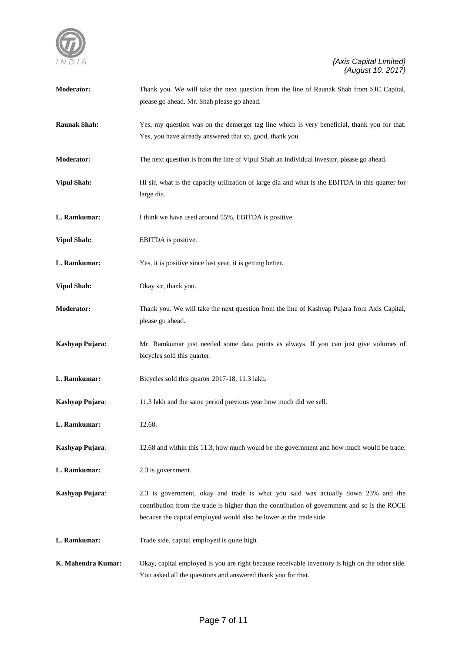

| <b>Moderator:</b>   | Thank you. We will take the next question from the line of Raunak Shah from SJC Capital,<br>please go ahead. Mr. Shah please go ahead.                                                                                                                  |
|---------------------|---------------------------------------------------------------------------------------------------------------------------------------------------------------------------------------------------------------------------------------------------------|
| <b>Raunak Shah:</b> | Yes, my question was on the demerger tag line which is very beneficial, thank you for that.<br>Yes, you have already answered that so, good, thank you.                                                                                                 |
| Moderator:          | The next question is from the line of Vipul Shah an individual investor, please go ahead.                                                                                                                                                               |
| <b>Vipul Shah:</b>  | Hi sir, what is the capacity utilization of large dia and what is the EBITDA in this quarter for<br>large dia.                                                                                                                                          |
| L. Ramkumar:        | I think we have used around 55%, EBITDA is positive.                                                                                                                                                                                                    |
| <b>Vipul Shah:</b>  | EBITDA is positive.                                                                                                                                                                                                                                     |
| L. Ramkumar:        | Yes, it is positive since last year, it is getting better.                                                                                                                                                                                              |
| <b>Vipul Shah:</b>  | Okay sir, thank you.                                                                                                                                                                                                                                    |
| <b>Moderator:</b>   | Thank you. We will take the next question from the line of Kashyap Pujara from Axis Capital,<br>please go ahead.                                                                                                                                        |
| Kashyap Pujara:     | Mr. Ramkumar just needed some data points as always. If you can just give volumes of<br>bicycles sold this quarter.                                                                                                                                     |
| L. Ramkumar:        | Bicycles sold this quarter 2017-18, 11.3 lakh.                                                                                                                                                                                                          |
| Kashyap Pujara:     | 11.3 lakh and the same period previous year how much did we sell.                                                                                                                                                                                       |
| L. Ramkumar:        | 12.68.                                                                                                                                                                                                                                                  |
| Kashyap Pujara:     | 12.68 and within this 11.3, how much would be the government and how much would be trade.                                                                                                                                                               |
| L. Ramkumar:        | 2.3 is government.                                                                                                                                                                                                                                      |
| Kashyap Pujara:     | 2.3 is government, okay and trade is what you said was actually down 23% and the<br>contribution from the trade is higher than the contribution of government and so is the ROCE<br>because the capital employed would also be lower at the trade side. |
| L. Ramkumar:        | Trade side, capital employed is quite high.                                                                                                                                                                                                             |
| K. Mahendra Kumar:  | Okay, capital employed is you are right because receivable inventory is high on the other side.<br>You asked all the questions and answered thank you for that.                                                                                         |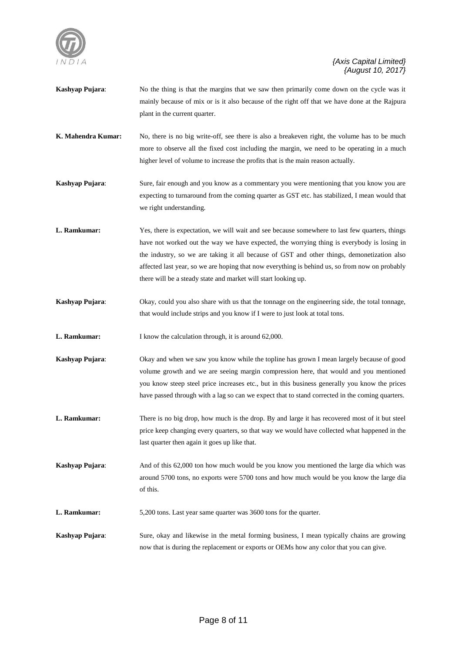

- **Kashyap Pujara**: No the thing is that the margins that we saw then primarily come down on the cycle was it mainly because of mix or is it also because of the right off that we have done at the Rajpura plant in the current quarter.
- **K. Mahendra Kumar:** No, there is no big write-off, see there is also a breakeven right, the volume has to be much more to observe all the fixed cost including the margin, we need to be operating in a much higher level of volume to increase the profits that is the main reason actually.
- **Kashyap Pujara:** Sure, fair enough and you know as a commentary you were mentioning that you know you are expecting to turnaround from the coming quarter as GST etc. has stabilized, I mean would that we right understanding.
- **L. Ramkumar:** Yes, there is expectation, we will wait and see because somewhere to last few quarters, things have not worked out the way we have expected, the worrying thing is everybody is losing in the industry, so we are taking it all because of GST and other things, demonetization also affected last year, so we are hoping that now everything is behind us, so from now on probably there will be a steady state and market will start looking up.
- **Kashyap Pujara**: Okay, could you also share with us that the tonnage on the engineering side, the total tonnage, that would include strips and you know if I were to just look at total tons.
- **L. Ramkumar:** I know the calculation through, it is around 62,000.
- **Kashyap Pujara**: Okay and when we saw you know while the topline has grown I mean largely because of good volume growth and we are seeing margin compression here, that would and you mentioned you know steep steel price increases etc., but in this business generally you know the prices have passed through with a lag so can we expect that to stand corrected in the coming quarters.
- **L. Ramkumar:** There is no big drop, how much is the drop. By and large it has recovered most of it but steel price keep changing every quarters, so that way we would have collected what happened in the last quarter then again it goes up like that.
- **Kashyap Pujara:** And of this 62,000 ton how much would be you know you mentioned the large dia which was around 5700 tons, no exports were 5700 tons and how much would be you know the large dia of this.
- **L. Ramkumar:** 5,200 tons. Last year same quarter was 3600 tons for the quarter.
- **Kashyap Pujara:** Sure, okay and likewise in the metal forming business, I mean typically chains are growing now that is during the replacement or exports or OEMs how any color that you can give.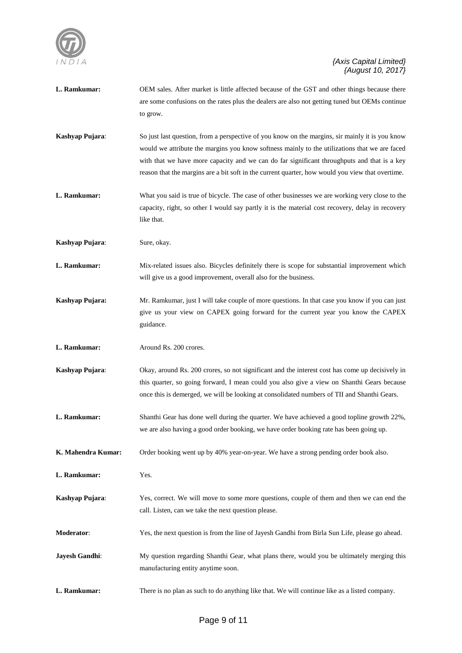

| L. Ramkumar:       | OEM sales. After market is little affected because of the GST and other things because there<br>are some confusions on the rates plus the dealers are also not getting tuned but OEMs continue<br>to grow.                                                                                                                                                                                          |
|--------------------|-----------------------------------------------------------------------------------------------------------------------------------------------------------------------------------------------------------------------------------------------------------------------------------------------------------------------------------------------------------------------------------------------------|
| Kashyap Pujara:    | So just last question, from a perspective of you know on the margins, sir mainly it is you know<br>would we attribute the margins you know softness mainly to the utilizations that we are faced<br>with that we have more capacity and we can do far significant throughputs and that is a key<br>reason that the margins are a bit soft in the current quarter, how would you view that overtime. |
| L. Ramkumar:       | What you said is true of bicycle. The case of other businesses we are working very close to the<br>capacity, right, so other I would say partly it is the material cost recovery, delay in recovery<br>like that.                                                                                                                                                                                   |
| Kashyap Pujara:    | Sure, okay.                                                                                                                                                                                                                                                                                                                                                                                         |
| L. Ramkumar:       | Mix-related issues also. Bicycles definitely there is scope for substantial improvement which<br>will give us a good improvement, overall also for the business.                                                                                                                                                                                                                                    |
| Kashyap Pujara:    | Mr. Ramkumar, just I will take couple of more questions. In that case you know if you can just<br>give us your view on CAPEX going forward for the current year you know the CAPEX<br>guidance.                                                                                                                                                                                                     |
| L. Ramkumar:       | Around Rs. 200 crores.                                                                                                                                                                                                                                                                                                                                                                              |
| Kashyap Pujara:    | Okay, around Rs. 200 crores, so not significant and the interest cost has come up decisively in<br>this quarter, so going forward, I mean could you also give a view on Shanthi Gears because<br>once this is demerged, we will be looking at consolidated numbers of TII and Shanthi Gears.                                                                                                        |
| L. Ramkumar:       | Shanthi Gear has done well during the quarter. We have achieved a good topline growth 22%,<br>we are also having a good order booking, we have order booking rate has been going up.                                                                                                                                                                                                                |
| K. Mahendra Kumar: | Order booking went up by 40% year-on-year. We have a strong pending order book also.                                                                                                                                                                                                                                                                                                                |
| L. Ramkumar:       | Yes.                                                                                                                                                                                                                                                                                                                                                                                                |
| Kashyap Pujara:    | Yes, correct. We will move to some more questions, couple of them and then we can end the<br>call. Listen, can we take the next question please.                                                                                                                                                                                                                                                    |
| Moderator:         | Yes, the next question is from the line of Jayesh Gandhi from Birla Sun Life, please go ahead.                                                                                                                                                                                                                                                                                                      |
| Jayesh Gandhi:     | My question regarding Shanthi Gear, what plans there, would you be ultimately merging this<br>manufacturing entity anytime soon.                                                                                                                                                                                                                                                                    |
| L. Ramkumar:       | There is no plan as such to do anything like that. We will continue like as a listed company.                                                                                                                                                                                                                                                                                                       |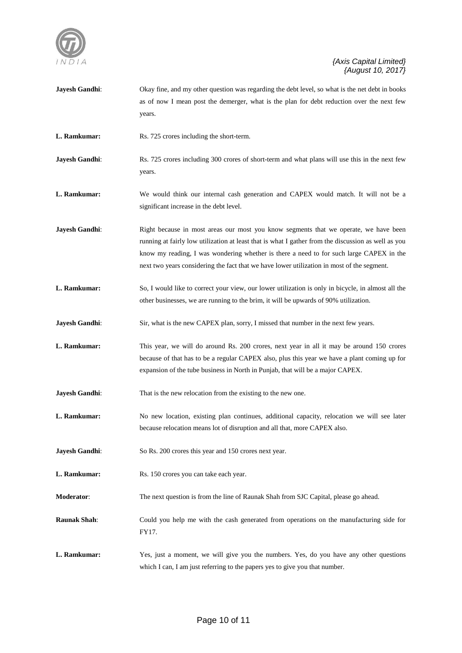

| Jayesh Gandhi:      | Okay fine, and my other question was regarding the debt level, so what is the net debt in books<br>as of now I mean post the demerger, what is the plan for debt reduction over the next few<br>years.                                                                                                                                                                               |
|---------------------|--------------------------------------------------------------------------------------------------------------------------------------------------------------------------------------------------------------------------------------------------------------------------------------------------------------------------------------------------------------------------------------|
| L. Ramkumar:        | Rs. 725 crores including the short-term.                                                                                                                                                                                                                                                                                                                                             |
| Jayesh Gandhi:      | Rs. 725 crores including 300 crores of short-term and what plans will use this in the next few<br>years.                                                                                                                                                                                                                                                                             |
| L. Ramkumar:        | We would think our internal cash generation and CAPEX would match. It will not be a<br>significant increase in the debt level.                                                                                                                                                                                                                                                       |
| Jayesh Gandhi:      | Right because in most areas our most you know segments that we operate, we have been<br>running at fairly low utilization at least that is what I gather from the discussion as well as you<br>know my reading, I was wondering whether is there a need to for such large CAPEX in the<br>next two years considering the fact that we have lower utilization in most of the segment. |
| L. Ramkumar:        | So, I would like to correct your view, our lower utilization is only in bicycle, in almost all the<br>other businesses, we are running to the brim, it will be upwards of 90% utilization.                                                                                                                                                                                           |
| Jayesh Gandhi:      | Sir, what is the new CAPEX plan, sorry, I missed that number in the next few years.                                                                                                                                                                                                                                                                                                  |
| L. Ramkumar:        | This year, we will do around Rs. 200 crores, next year in all it may be around 150 crores<br>because of that has to be a regular CAPEX also, plus this year we have a plant coming up for<br>expansion of the tube business in North in Punjab, that will be a major CAPEX.                                                                                                          |
| Jayesh Gandhi:      | That is the new relocation from the existing to the new one.                                                                                                                                                                                                                                                                                                                         |
| L. Ramkumar:        | No new location, existing plan continues, additional capacity, relocation we will see later<br>because relocation means lot of disruption and all that, more CAPEX also.                                                                                                                                                                                                             |
| Jayesh Gandhi:      | So Rs. 200 crores this year and 150 crores next year.                                                                                                                                                                                                                                                                                                                                |
| L. Ramkumar:        | Rs. 150 crores you can take each year.                                                                                                                                                                                                                                                                                                                                               |
| Moderator:          | The next question is from the line of Raunak Shah from SJC Capital, please go ahead.                                                                                                                                                                                                                                                                                                 |
| <b>Raunak Shah:</b> | Could you help me with the cash generated from operations on the manufacturing side for<br>FY17.                                                                                                                                                                                                                                                                                     |
| L. Ramkumar:        | Yes, just a moment, we will give you the numbers. Yes, do you have any other questions<br>which I can, I am just referring to the papers yes to give you that number.                                                                                                                                                                                                                |